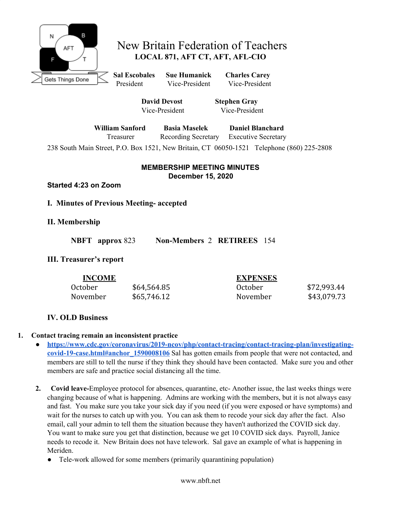

# New Britain Federation of Teachers **LOCAL 871, AFT CT, AFT, AFL-CIO**

**Sal Escobales Sue Humanick Charles Carey** President Vice-President Vice-President

**David Devost Stephen Gray** Vice-President Vice-President

**William Sanford Basia Maselek Daniel Blanchard** Treasurer Recording Secretary Executive Secretary

238 South Main Street, P.O. Box 1521, New Britain, CT 06050-1521 Telephone (860) 225-2808

### **MEMBERSHIP MEETING MINUTES December 15, 2020**

**Started 4:23 on Zoom**

## **I. Minutes of Previous Meeting- accepted**

## **II. Membership**

**NBFT approx** 823 **Non-Members** 2 **RETIREES** 154

## **III. Treasurer's report**

| <b>INCOME</b> |             | <b>EXPENSES</b> |             |
|---------------|-------------|-----------------|-------------|
| October       | \$64,564.85 | October         | \$72,993.44 |
| November      | \$65,746.12 | November        | \$43,079.73 |

## **IV. OLD Business**

#### **1. Contact tracing remain an inconsistent practice**

- **● [https://www.cdc.gov/coronavirus/2019-ncov/php/contact-tracing/contact-tracing-plan/investigating](https://www.cdc.gov/coronavirus/2019-ncov/php/contact-tracing/contact-tracing-plan/investigating-covid-19-case.html#anchor_1590008106)[covid-19-case.html#anchor\\_1590008106](https://www.cdc.gov/coronavirus/2019-ncov/php/contact-tracing/contact-tracing-plan/investigating-covid-19-case.html#anchor_1590008106)** Sal has gotten emails from people that were not contacted, and members are still to tell the nurse if they think they should have been contacted. Make sure you and other members are safe and practice social distancing all the time.
- **2. Covid leave-**Employee protocol for absences, quarantine, etc- Another issue, the last weeks things were changing because of what is happening. Admins are working with the members, but it is not always easy and fast. You make sure you take your sick day if you need (if you were exposed or have symptoms) and wait for the nurses to catch up with you. You can ask them to recode your sick day after the fact. Also email, call your admin to tell them the situation because they haven't authorized the COVID sick day. You want to make sure you get that distinction, because we get 10 COVID sick days. Payroll, Janice needs to recode it. New Britain does not have telework. Sal gave an example of what is happening in Meriden.
	- Tele-work allowed for some members (primarily quarantining population)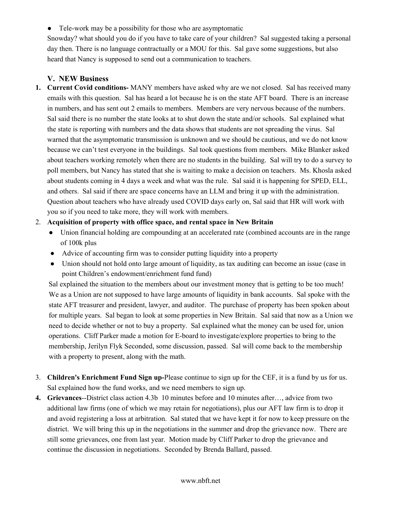• Tele-work may be a possibility for those who are asymptomatic

Snowday? what should you do if you have to take care of your children? Sal suggested taking a personal day then. There is no language contractually or a MOU for this. Sal gave some suggestions, but also heard that Nancy is supposed to send out a communication to teachers.

#### **V. NEW Business**

**1. Current Covid conditions-** MANY members have asked why are we not closed. Sal has received many emails with this question. Sal has heard a lot because he is on the state AFT board. There is an increase in numbers, and has sent out 2 emails to members. Members are very nervous because of the numbers. Sal said there is no number the state looks at to shut down the state and/or schools. Sal explained what the state is reporting with numbers and the data shows that students are not spreading the virus. Sal warned that the asymptomatic transmission is unknown and we should be cautious, and we do not know because we can't test everyone in the buildings. Sal took questions from members. Mike Blanker asked about teachers working remotely when there are no students in the building. Sal will try to do a survey to poll members, but Nancy has stated that she is waiting to make a decision on teachers. Ms. Khosla asked about students coming in 4 days a week and what was the rule. Sal said it is happening for SPED, ELL, and others. Sal said if there are space concerns have an LLM and bring it up with the administration. Question about teachers who have already used COVID days early on, Sal said that HR will work with you so if you need to take more, they will work with members.

#### 2. **Acquisition of property with office space, and rental space in New Britain**

- Union financial holding are compounding at an accelerated rate (combined accounts are in the range of 100k plus
- Advice of accounting firm was to consider putting liquidity into a property
- Union should not hold onto large amount of liquidity, as tax auditing can become an issue (case in point Children's endowment/enrichment fund fund)

Sal explained the situation to the members about our investment money that is getting to be too much! We as a Union are not supposed to have large amounts of liquidity in bank accounts. Sal spoke with the state AFT treasurer and president, lawyer, and auditor. The purchase of property has been spoken about for multiple years. Sal began to look at some properties in New Britain. Sal said that now as a Union we need to decide whether or not to buy a property. Sal explained what the money can be used for, union operations. Cliff Parker made a motion for E-board to investigate/explore properties to bring to the membership, Jerilyn Flyk Seconded, some discussion, passed. Sal will come back to the membership with a property to present, along with the math.

- 3. **Children's Enrichment Fund Sign up-**Please continue to sign up for the CEF, it is a fund by us for us. Sal explained how the fund works, and we need members to sign up.
- **4. Grievances**--District class action 4.3b 10 minutes before and 10 minutes after…, advice from two additional law firms (one of which we may retain for negotiations), plus our AFT law firm is to drop it and avoid registering a loss at arbitration. Sal stated that we have kept it for now to keep pressure on the district. We will bring this up in the negotiations in the summer and drop the grievance now. There are still some grievances, one from last year. Motion made by Cliff Parker to drop the grievance and continue the discussion in negotiations. Seconded by Brenda Ballard, passed.